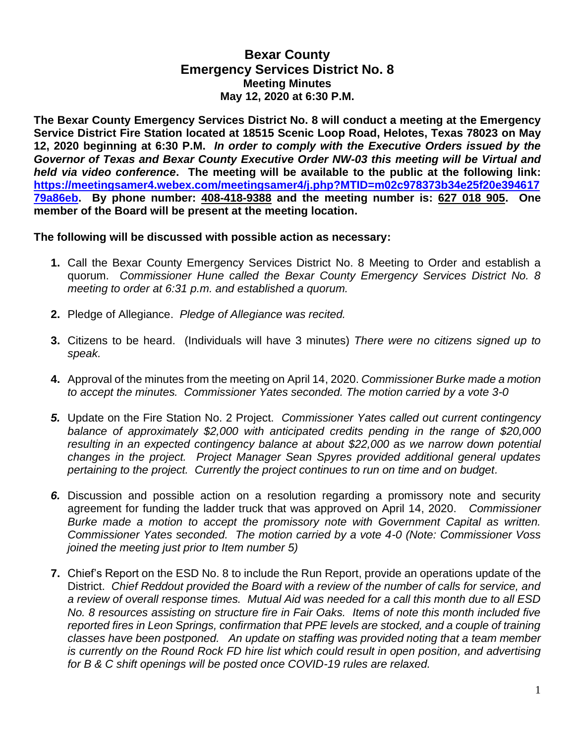## **Bexar County Emergency Services District No. 8 Meeting Minutes May 12, 2020 at 6:30 P.M.**

**The Bexar County Emergency Services District No. 8 will conduct a meeting at the Emergency Service District Fire Station located at 18515 Scenic Loop Road, Helotes, Texas 78023 on May 12, 2020 beginning at 6:30 P.M.** *In order to comply with the Executive Orders issued by the Governor of Texas and Bexar County Executive Order NW-03 this meeting will be Virtual and held via video conference***. The meeting will be available to the public at the following link: https://meetingsamer4.webex.com/meetingsamer4/j.php?MTID=m02c978373b34e25f20e394617 79a86eb. By phone number: 408-418-9388 and the meeting number is: 627 018 905. One member of the Board will be present at the meeting location.**

## **The following will be discussed with possible action as necessary:**

- **1.** Call the Bexar County Emergency Services District No. 8 Meeting to Order and establish a quorum. *Commissioner Hune called the Bexar County Emergency Services District No. 8 meeting to order at 6:31 p.m. and established a quorum.*
- **2.** Pledge of Allegiance. *Pledge of Allegiance was recited.*
- **3.** Citizens to be heard. (Individuals will have 3 minutes) *There were no citizens signed up to speak.*
- **4.** Approval of the minutes from the meeting on April 14, 2020. *Commissioner Burke made a motion to accept the minutes. Commissioner Yates seconded. The motion carried by a vote 3-0*
- *5.* Update on the Fire Station No. 2 Project. *Commissioner Yates called out current contingency balance of approximately \$2,000 with anticipated credits pending in the range of \$20,000 resulting in an expected contingency balance at about \$22,000 as we narrow down potential changes in the project. Project Manager Sean Spyres provided additional general updates pertaining to the project. Currently the project continues to run on time and on budget.*
- *6.* Discussion and possible action on a resolution regarding a promissory note and security agreement for funding the ladder truck that was approved on April 14, 2020. *Commissioner Burke made a motion to accept the promissory note with Government Capital as written. Commissioner Yates seconded. The motion carried by a vote 4-0 (Note: Commissioner Voss joined the meeting just prior to Item number 5)*
- **7.** Chief's Report on the ESD No. 8 to include the Run Report, provide an operations update of the District. *Chief Reddout provided the Board with a review of the number of calls for service, and a review of overall response times. Mutual Aid was needed for a call this month due to all ESD No. 8 resources assisting on structure fire in Fair Oaks. Items of note this month included five reported fires in Leon Springs, confirmation that PPE levels are stocked, and a couple of training classes have been postponed. An update on staffing was provided noting that a team member is currently on the Round Rock FD hire list which could result in open position, and advertising for B & C shift openings will be posted once COVID-19 rules are relaxed.*